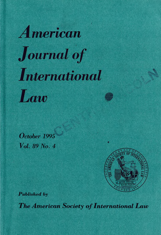# *merican* **Journal of** *International* Law

*October 1995 Vol. 89 No. 4*



Published by

**The American Society of International Law**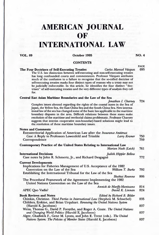## **AMERICAN JOURNAL OF**

## **INTERNATIONAL LAW**

### **VOL. 89 October 1995 NO. 4**

#### **CONTENTS**

Fraction Self-Executing Treaties<br>The Four Doctrines of Self-Executing Treaties<br>The U.S. law distinction between self-executing and non-self-executing treaties<br>has long confounded courts and commentators. Professor Våzquez self-executing treaties masks four distinct types of reasons why a treaty may not be judicially enforceable. In this article, he identifies the four distinct " doctrines" of self-executing treaties and the very different types of analysis they call for.

## **Central East Asian Maritime Boundaries and the Law of the Sea**<br>*Jonathan I. Charney* 724

Complex issues abound regarding the rights of the coastal states in the Sea of Japan, the Yellow Sea, the East China Sea and the South China Sea. New international law of the sea has changed some of the basic law applicable to the maritime boundary disputes in the area. Difficult relations between th resolution of the maritime and territorial claims problematic. Professor Charney suggests that interim cooperative non-boundary-based solutions might lead to the resolution of these maritime boundary issues.

| <b>Notes and Comments</b>                                                                                                                                                                                                     |            |
|-------------------------------------------------------------------------------------------------------------------------------------------------------------------------------------------------------------------------------|------------|
| <b>Extraterritorial Application of American Law after the Insurance Antitrust</b><br>Case: A Reply to Professors Lowenfeld and Trimble<br>Larry Kramer<br>Correspondence                                                      | 750<br>759 |
| Contemporary Practice of the United States Relating to International Law<br>Marian Nash (Leich)                                                                                                                               | 761        |
| International Decisions<br>Judith Hippler Bellow<br>Case notes by John R. Schmertz, Jr., and Richard Desgagne                                                                                                                 | 772        |
| <b>Current Developments</b><br>Implications for Fisheries Management of U.S. Acceptance of the 1982<br>Convention on the Law of the Sea<br>William T. Burke<br>Establishing the International Tribunal for the Law of the Sea | 792        |
| Shabtai Rosenne<br>The Procedural Framework of the Agreement Implementing the 1982<br>United Nations Convention on the Law of the Sea                                                                                         | 806        |
| Annick de Marffy-Mantuano<br>David K. Linnan<br>APEC Quo Vadis?                                                                                                                                                               | 814<br>824 |
| <b>Book Reviews and Notes</b><br>Edited by Richard B. Bilder<br>Chinkin, Christine. Third Parties in International Law (Stephen M. Schwebel)<br>Childers, Erskine, and Brian Urquhart. Renewing the United Nations System     | 835        |
| (Harold K. Jacobson)<br>Weiss, Thomas G., David P. Forsythe, and Roger A. Coate. The United Nations<br>and Changing World Politics (Harold K. Jacobson)                                                                       | 837<br>837 |
| Alger, Chadwick F., Gene M. Lyons, and John E. Trent (eds.). The United<br>Nations System: The Policies of Member States (Harold K. Jacobson)                                                                                 | 837        |